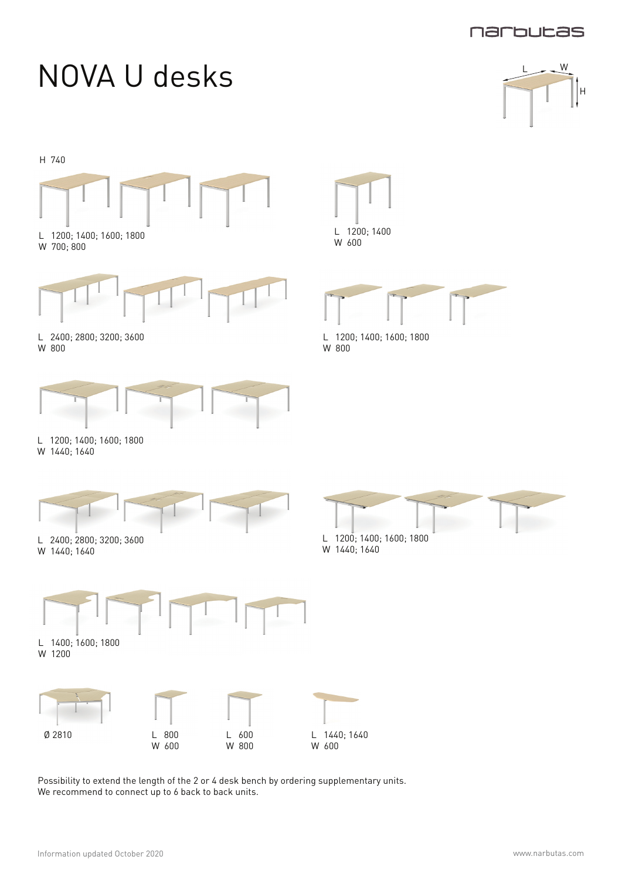

H



Possibility to extend the length of the 2 or 4 desk bench by ordering supplementary units. We recommend to connect up to 6 back to back units.

W 800

W 600

W 600